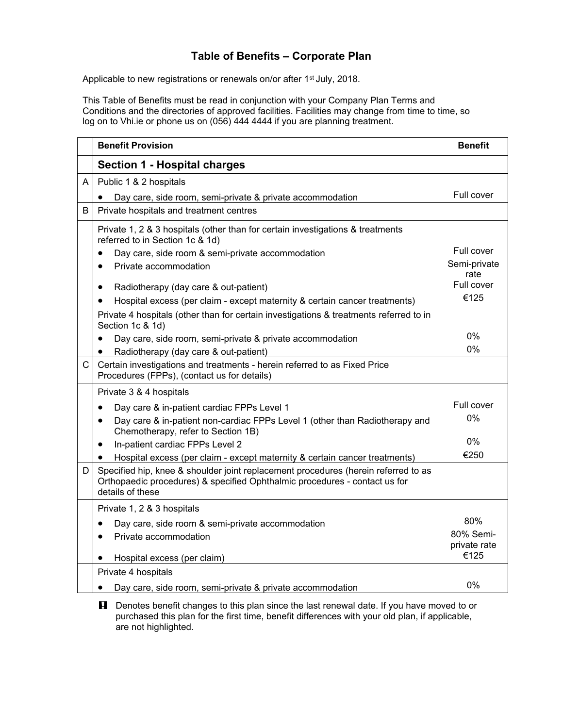## **Table of Benefits – Corporate Plan**

Applicable to new registrations or renewals on/or after 1<sup>st</sup> July, 2018.

This Table of Benefits must be read in conjunction with your Company Plan Terms and Conditions and the directories of approved facilities. Facilities may change from time to time, so log on to Vhi.ie or phone us on (056) 444 4444 if you are planning treatment.

|   | <b>Benefit Provision</b>                                                                                                                                                             | <b>Benefit</b>                   |
|---|--------------------------------------------------------------------------------------------------------------------------------------------------------------------------------------|----------------------------------|
|   | <b>Section 1 - Hospital charges</b>                                                                                                                                                  |                                  |
| A | Public 1 & 2 hospitals                                                                                                                                                               |                                  |
|   | Day care, side room, semi-private & private accommodation                                                                                                                            | Full cover                       |
| B | Private hospitals and treatment centres                                                                                                                                              |                                  |
|   | Private 1, 2 & 3 hospitals (other than for certain investigations & treatments<br>referred to in Section 1c & 1d)<br>Day care, side room & semi-private accommodation                | Full cover                       |
|   | Private accommodation                                                                                                                                                                | Semi-private<br>rate             |
|   | Radiotherapy (day care & out-patient)<br>٠<br>Hospital excess (per claim - except maternity & certain cancer treatments)                                                             | Full cover<br>€125               |
|   | Private 4 hospitals (other than for certain investigations & treatments referred to in<br>Section 1c & 1d)                                                                           |                                  |
|   | Day care, side room, semi-private & private accommodation                                                                                                                            | 0%                               |
|   | Radiotherapy (day care & out-patient)<br>٠                                                                                                                                           | 0%                               |
| С | Certain investigations and treatments - herein referred to as Fixed Price<br>Procedures (FPPs), (contact us for details)                                                             |                                  |
|   | Private 3 & 4 hospitals                                                                                                                                                              |                                  |
|   | Day care & in-patient cardiac FPPs Level 1<br>$\bullet$                                                                                                                              | Full cover                       |
|   | Day care & in-patient non-cardiac FPPs Level 1 (other than Radiotherapy and<br>٠<br>Chemotherapy, refer to Section 1B)                                                               | 0%                               |
|   | In-patient cardiac FPPs Level 2<br>$\bullet$                                                                                                                                         | 0%                               |
|   | Hospital excess (per claim - except maternity & certain cancer treatments)<br>$\bullet$                                                                                              | €250                             |
| D | Specified hip, knee & shoulder joint replacement procedures (herein referred to as<br>Orthopaedic procedures) & specified Ophthalmic procedures - contact us for<br>details of these |                                  |
|   | Private 1, 2 & 3 hospitals                                                                                                                                                           |                                  |
|   | Day care, side room & semi-private accommodation<br>Private accommodation<br>$\bullet$                                                                                               | 80%<br>80% Semi-<br>private rate |
|   | Hospital excess (per claim)                                                                                                                                                          | €125                             |
|   | Private 4 hospitals                                                                                                                                                                  |                                  |
|   | Day care, side room, semi-private & private accommodation<br>$\bullet$                                                                                                               | 0%                               |

**H** Denotes benefit changes to this plan since the last renewal date. If you have moved to or purchased this plan for the first time, benefit differences with your old plan, if applicable, are not highlighted.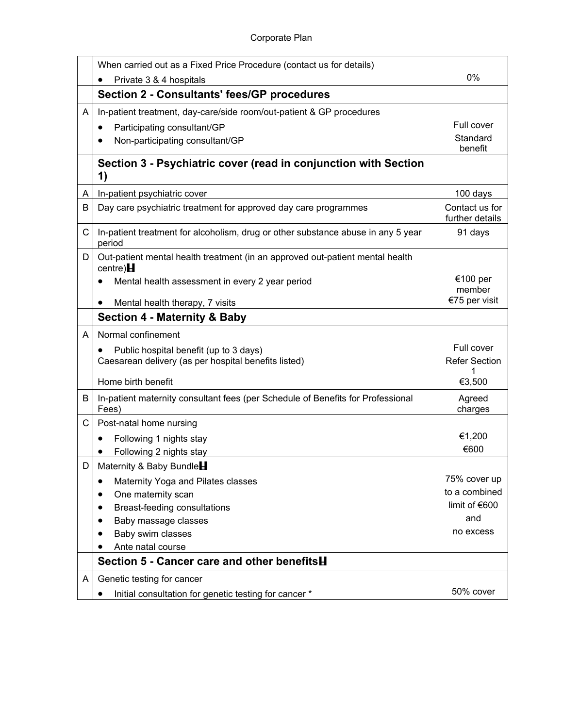|   | When carried out as a Fixed Price Procedure (contact us for details)                            |                                    |
|---|-------------------------------------------------------------------------------------------------|------------------------------------|
|   | Private 3 & 4 hospitals                                                                         | 0%                                 |
|   | <b>Section 2 - Consultants' fees/GP procedures</b>                                              |                                    |
| A | In-patient treatment, day-care/side room/out-patient & GP procedures                            |                                    |
|   | Participating consultant/GP<br>٠                                                                | Full cover                         |
|   | Non-participating consultant/GP                                                                 | Standard<br>benefit                |
|   | Section 3 - Psychiatric cover (read in conjunction with Section<br>1)                           |                                    |
| A | In-patient psychiatric cover                                                                    | 100 days                           |
| В | Day care psychiatric treatment for approved day care programmes                                 | Contact us for<br>further details  |
| C | In-patient treatment for alcoholism, drug or other substance abuse in any 5 year<br>period      | 91 days                            |
| D | Out-patient mental health treatment (in an approved out-patient mental health<br>$centre$ ) $H$ |                                    |
|   | Mental health assessment in every 2 year period                                                 | €100 per<br>member                 |
|   | Mental health therapy, 7 visits<br>$\bullet$                                                    | €75 per visit                      |
|   | <b>Section 4 - Maternity &amp; Baby</b>                                                         |                                    |
| A | Normal confinement                                                                              |                                    |
|   | Public hospital benefit (up to 3 days)<br>Caesarean delivery (as per hospital benefits listed)  | Full cover<br><b>Refer Section</b> |
|   | Home birth benefit                                                                              | €3,500                             |
| В | In-patient maternity consultant fees (per Schedule of Benefits for Professional<br>Fees)        | Agreed<br>charges                  |
| С | Post-natal home nursing                                                                         |                                    |
|   | Following 1 nights stay<br>$\bullet$                                                            | €1,200                             |
|   | Following 2 nights stay                                                                         | €600                               |
| D | Maternity & Baby Bundle                                                                         |                                    |
|   | Maternity Yoga and Pilates classes<br>٠                                                         | 75% cover up                       |
|   | One maternity scan                                                                              | to a combined                      |
|   | Breast-feeding consultations                                                                    | limit of €600                      |
|   | Baby massage classes                                                                            | and                                |
|   | Baby swim classes                                                                               | no excess                          |
|   | Ante natal course                                                                               |                                    |
|   | Section 5 - Cancer care and other benefits <b>H</b>                                             |                                    |
| A | Genetic testing for cancer                                                                      |                                    |
|   | Initial consultation for genetic testing for cancer *<br>٠                                      | 50% cover                          |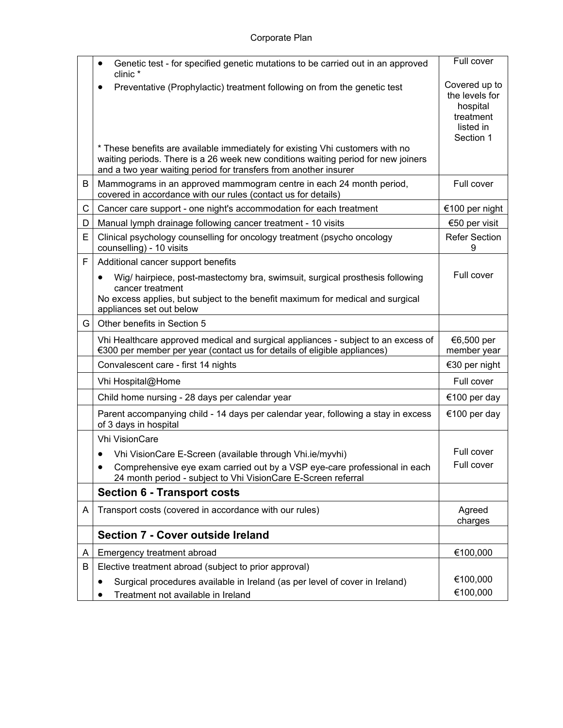|     | Genetic test - for specified genetic mutations to be carried out in an approved<br>clinic *                                                                                                                                                    | Full cover                                                                         |
|-----|------------------------------------------------------------------------------------------------------------------------------------------------------------------------------------------------------------------------------------------------|------------------------------------------------------------------------------------|
|     | Preventative (Prophylactic) treatment following on from the genetic test<br>* These benefits are available immediately for existing Vhi customers with no<br>waiting periods. There is a 26 week new conditions waiting period for new joiners | Covered up to<br>the levels for<br>hospital<br>treatment<br>listed in<br>Section 1 |
| B   | and a two year waiting period for transfers from another insurer<br>Mammograms in an approved mammogram centre in each 24 month period,<br>covered in accordance with our rules (contact us for details)                                       | Full cover                                                                         |
| C   | Cancer care support - one night's accommodation for each treatment                                                                                                                                                                             | €100 per night                                                                     |
| D   | Manual lymph drainage following cancer treatment - 10 visits                                                                                                                                                                                   | €50 per visit                                                                      |
| E   | Clinical psychology counselling for oncology treatment (psycho oncology<br>counselling) - 10 visits                                                                                                                                            | <b>Refer Section</b><br>9                                                          |
| F   | Additional cancer support benefits                                                                                                                                                                                                             |                                                                                    |
|     | Wig/ hairpiece, post-mastectomy bra, swimsuit, surgical prosthesis following<br>cancer treatment<br>No excess applies, but subject to the benefit maximum for medical and surgical<br>appliances set out below                                 | Full cover                                                                         |
| G I | Other benefits in Section 5                                                                                                                                                                                                                    |                                                                                    |
|     | Vhi Healthcare approved medical and surgical appliances - subject to an excess of<br>€300 per member per year (contact us for details of eligible appliances)                                                                                  | €6,500 per<br>member year                                                          |
|     | Convalescent care - first 14 nights                                                                                                                                                                                                            | €30 per night                                                                      |
|     | Vhi Hospital@Home                                                                                                                                                                                                                              | Full cover                                                                         |
|     | Child home nursing - 28 days per calendar year                                                                                                                                                                                                 | €100 per day                                                                       |
|     | Parent accompanying child - 14 days per calendar year, following a stay in excess<br>of 3 days in hospital                                                                                                                                     | €100 per day                                                                       |
|     | <b>Vhi VisionCare</b>                                                                                                                                                                                                                          |                                                                                    |
|     | Vhi VisionCare E-Screen (available through Vhi.ie/myvhi)<br>٠                                                                                                                                                                                  | Full cover                                                                         |
|     | Comprehensive eye exam carried out by a VSP eye-care professional in each<br>24 month period - subject to Vhi VisionCare E-Screen referral                                                                                                     | Full cover                                                                         |
|     | <b>Section 6 - Transport costs</b>                                                                                                                                                                                                             |                                                                                    |
| A   | Transport costs (covered in accordance with our rules)                                                                                                                                                                                         | Agreed<br>charges                                                                  |
|     | Section 7 - Cover outside Ireland                                                                                                                                                                                                              |                                                                                    |
| A   | Emergency treatment abroad                                                                                                                                                                                                                     | €100,000                                                                           |
| B   | Elective treatment abroad (subject to prior approval)                                                                                                                                                                                          |                                                                                    |
|     | Surgical procedures available in Ireland (as per level of cover in Ireland)<br>Treatment not available in Ireland                                                                                                                              | €100,000<br>€100,000                                                               |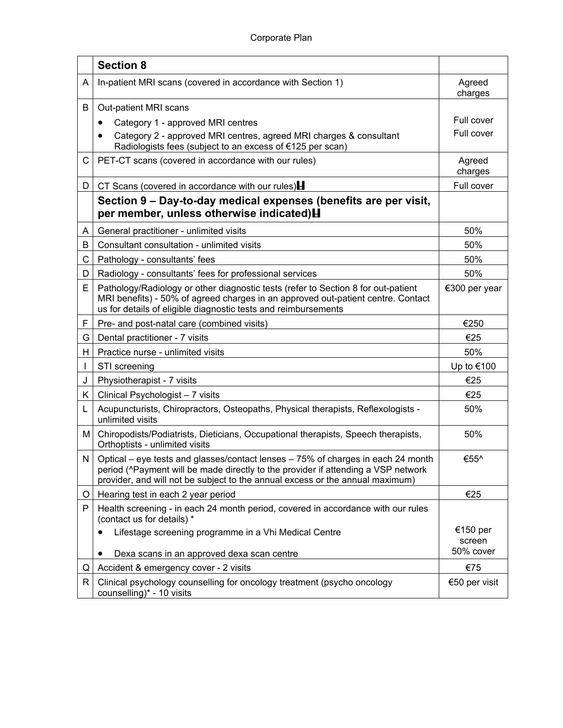|    | <b>Section 8</b>                                                                                                                                                                                                                                                     |                    |
|----|----------------------------------------------------------------------------------------------------------------------------------------------------------------------------------------------------------------------------------------------------------------------|--------------------|
| A  | In-patient MRI scans (covered in accordance with Section 1)                                                                                                                                                                                                          | Agreed<br>charges  |
| В  | Out-patient MRI scans                                                                                                                                                                                                                                                |                    |
|    | Category 1 - approved MRI centres<br>٠                                                                                                                                                                                                                               | Full cover         |
|    | Category 2 - approved MRI centres, agreed MRI charges & consultant<br>Radiologists fees (subject to an excess of €125 per scan)                                                                                                                                      | Full cover         |
| С  | PET-CT scans (covered in accordance with our rules)                                                                                                                                                                                                                  | Agreed<br>charges  |
| D. | CT Scans (covered in accordance with our rules) $\blacksquare$                                                                                                                                                                                                       | Full cover         |
|    | Section 9 – Day-to-day medical expenses (benefits are per visit,<br>per member, unless otherwise indicated) H                                                                                                                                                        |                    |
| A  | General practitioner - unlimited visits                                                                                                                                                                                                                              | 50%                |
| B  | Consultant consultation - unlimited visits                                                                                                                                                                                                                           | 50%                |
| C  | Pathology - consultants' fees                                                                                                                                                                                                                                        | 50%                |
| D  | Radiology - consultants' fees for professional services                                                                                                                                                                                                              | 50%                |
| E. | Pathology/Radiology or other diagnostic tests (refer to Section 8 for out-patient<br>MRI benefits) - 50% of agreed charges in an approved out-patient centre. Contact<br>us for details of eligible diagnostic tests and reimbursements                              | €300 per year      |
| F  | Pre- and post-natal care (combined visits)                                                                                                                                                                                                                           | €250               |
| G  | Dental practitioner - 7 visits                                                                                                                                                                                                                                       | €25                |
| H  | Practice nurse - unlimited visits                                                                                                                                                                                                                                    | 50%                |
|    | STI screening                                                                                                                                                                                                                                                        | Up to €100         |
| J  | Physiotherapist - 7 visits                                                                                                                                                                                                                                           | €25                |
| K. | Clinical Psychologist - 7 visits                                                                                                                                                                                                                                     | €25                |
| L  | Acupuncturists, Chiropractors, Osteopaths, Physical therapists, Reflexologists -<br>unlimited visits                                                                                                                                                                 | 50%                |
| Μ  | Chiropodists/Podiatrists, Dieticians, Occupational therapists, Speech therapists,<br>Orthoptists - unlimited visits                                                                                                                                                  | 50%                |
| N  | Optical – eye tests and glasses/contact lenses – 75% of charges in each 24 month<br>period ( $\textdegree$ Payment will be made directly to the provider if attending a VSP network<br>provider, and will not be subject to the annual excess or the annual maximum) | €55^               |
| O  | Hearing test in each 2 year period                                                                                                                                                                                                                                   | €25                |
| P  | Health screening - in each 24 month period, covered in accordance with our rules<br>(contact us for details) *                                                                                                                                                       |                    |
|    | Lifestage screening programme in a Vhi Medical Centre                                                                                                                                                                                                                | €150 per<br>screen |
|    | Dexa scans in an approved dexa scan centre<br>$\bullet$                                                                                                                                                                                                              | 50% cover          |
| Q  | Accident & emergency cover - 2 visits                                                                                                                                                                                                                                | €75                |
| R. | Clinical psychology counselling for oncology treatment (psycho oncology<br>counselling)* - 10 visits                                                                                                                                                                 | €50 per visit      |